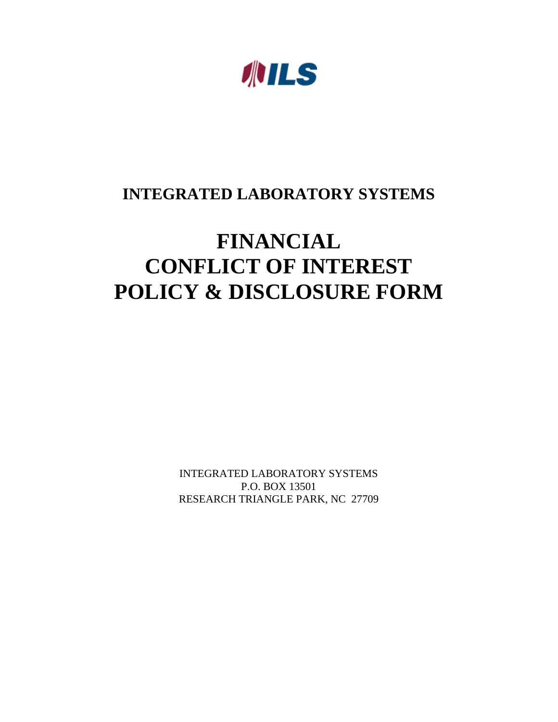**ANILS** 

## **INTEGRATED LABORATORY SYSTEMS**

# **FINANCIAL CONFLICT OF INTEREST POLICY & DISCLOSURE FORM**

INTEGRATED LABORATORY SYSTEMS P.O. BOX 13501 RESEARCH TRIANGLE PARK, NC 27709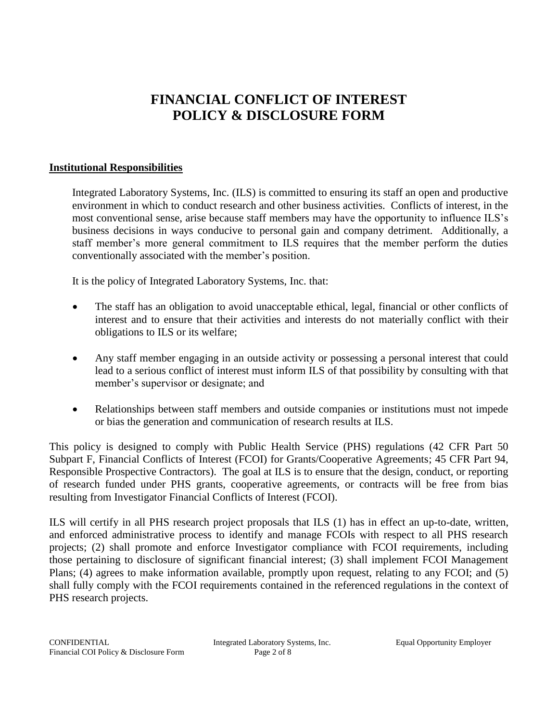### **FINANCIAL CONFLICT OF INTEREST POLICY & DISCLOSURE FORM**

#### **Institutional Responsibilities**

Integrated Laboratory Systems, Inc. (ILS) is committed to ensuring its staff an open and productive environment in which to conduct research and other business activities. Conflicts of interest, in the most conventional sense, arise because staff members may have the opportunity to influence ILS's business decisions in ways conducive to personal gain and company detriment. Additionally, a staff member's more general commitment to ILS requires that the member perform the duties conventionally associated with the member's position.

It is the policy of Integrated Laboratory Systems, Inc. that:

- The staff has an obligation to avoid unacceptable ethical, legal, financial or other conflicts of interest and to ensure that their activities and interests do not materially conflict with their obligations to ILS or its welfare;
- Any staff member engaging in an outside activity or possessing a personal interest that could lead to a serious conflict of interest must inform ILS of that possibility by consulting with that member's supervisor or designate; and
- Relationships between staff members and outside companies or institutions must not impede or bias the generation and communication of research results at ILS.

This policy is designed to comply with Public Health Service (PHS) regulations (42 CFR Part 50 Subpart F, Financial Conflicts of Interest (FCOI) for Grants/Cooperative Agreements; 45 CFR Part 94, Responsible Prospective Contractors). The goal at ILS is to ensure that the design, conduct, or reporting of research funded under PHS grants, cooperative agreements, or contracts will be free from bias resulting from Investigator Financial Conflicts of Interest (FCOI).

ILS will certify in all PHS research project proposals that ILS (1) has in effect an up-to-date, written, and enforced administrative process to identify and manage FCOIs with respect to all PHS research projects; (2) shall promote and enforce Investigator compliance with FCOI requirements, including those pertaining to disclosure of significant financial interest; (3) shall implement FCOI Management Plans; (4) agrees to make information available, promptly upon request, relating to any FCOI; and (5) shall fully comply with the FCOI requirements contained in the referenced regulations in the context of PHS research projects.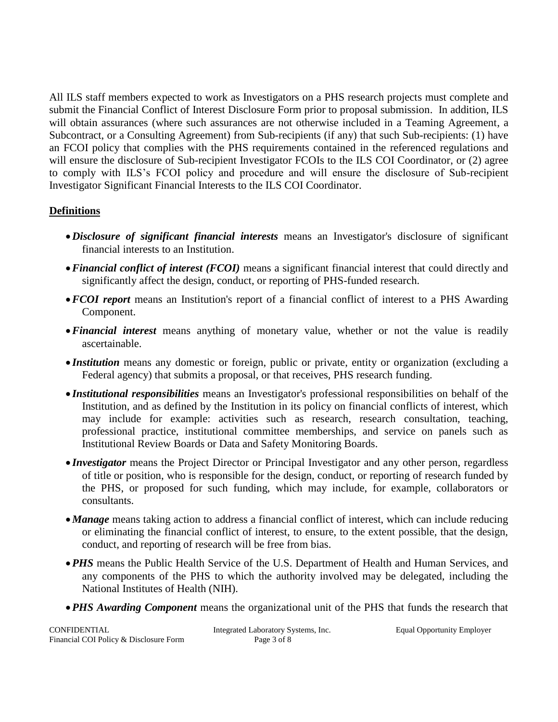All ILS staff members expected to work as Investigators on a PHS research projects must complete and submit the Financial Conflict of Interest Disclosure Form prior to proposal submission. In addition, ILS will obtain assurances (where such assurances are not otherwise included in a Teaming Agreement, a Subcontract, or a Consulting Agreement) from Sub-recipients (if any) that such Sub-recipients: (1) have an FCOI policy that complies with the PHS requirements contained in the referenced regulations and will ensure the disclosure of Sub-recipient Investigator FCOIs to the ILS COI Coordinator, or (2) agree to comply with ILS's FCOI policy and procedure and will ensure the disclosure of Sub-recipient Investigator Significant Financial Interests to the ILS COI Coordinator.

#### **Definitions**

- •*Disclosure of significant financial interests* means an Investigator's disclosure of significant financial interests to an Institution.
- •*Financial conflict of interest (FCOI)* means a significant financial interest that could directly and significantly affect the design, conduct, or reporting of PHS-funded research.
- •*FCOI report* means an Institution's report of a financial conflict of interest to a PHS Awarding Component.
- •*Financial interest* means anything of monetary value, whether or not the value is readily ascertainable.
- *Institution* means any domestic or foreign, public or private, entity or organization (excluding a Federal agency) that submits a proposal, or that receives, PHS research funding.
- *Institutional responsibilities* means an Investigator's professional responsibilities on behalf of the Institution, and as defined by the Institution in its policy on financial conflicts of interest, which may include for example: activities such as research, research consultation, teaching, professional practice, institutional committee memberships, and service on panels such as Institutional Review Boards or Data and Safety Monitoring Boards.
- *Investigator* means the Project Director or Principal Investigator and any other person, regardless of title or position, who is responsible for the design, conduct, or reporting of research funded by the PHS, or proposed for such funding, which may include, for example, collaborators or consultants.
- •*Manage* means taking action to address a financial conflict of interest, which can include reducing or eliminating the financial conflict of interest, to ensure, to the extent possible, that the design, conduct, and reporting of research will be free from bias.
- •*PHS* means the Public Health Service of the U.S. Department of Health and Human Services, and any components of the PHS to which the authority involved may be delegated, including the National Institutes of Health (NIH).
- •*PHS Awarding Component* means the organizational unit of the PHS that funds the research that

| CONFIDENTIAL                           | Integrated Laboratory Systems, Inc. | <b>Equal Opportunity Employer</b> |
|----------------------------------------|-------------------------------------|-----------------------------------|
| Financial COI Policy & Disclosure Form | Page 3 of 8                         |                                   |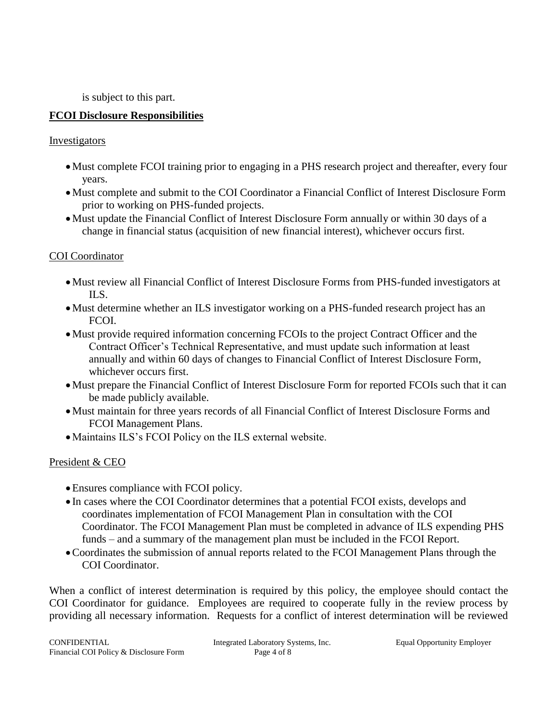is subject to this part.

#### **FCOI Disclosure Responsibilities**

#### Investigators

- •Must complete FCOI training prior to engaging in a PHS research project and thereafter, every four years.
- •Must complete and submit to the COI Coordinator a Financial Conflict of Interest Disclosure Form prior to working on PHS-funded projects.
- •Must update the Financial Conflict of Interest Disclosure Form annually or within 30 days of a change in financial status (acquisition of new financial interest), whichever occurs first.

#### COI Coordinator

- •Must review all Financial Conflict of Interest Disclosure Forms from PHS-funded investigators at ILS.
- •Must determine whether an ILS investigator working on a PHS-funded research project has an FCOI.
- •Must provide required information concerning FCOIs to the project Contract Officer and the Contract Officer's Technical Representative, and must update such information at least annually and within 60 days of changes to Financial Conflict of Interest Disclosure Form, whichever occurs first.
- •Must prepare the Financial Conflict of Interest Disclosure Form for reported FCOIs such that it can be made publicly available.
- •Must maintain for three years records of all Financial Conflict of Interest Disclosure Forms and FCOI Management Plans.
- •Maintains ILS's FCOI Policy on the ILS external website.

#### President & CEO

- •Ensures compliance with FCOI policy.
- In cases where the COI Coordinator determines that a potential FCOI exists, develops and coordinates implementation of FCOI Management Plan in consultation with the COI Coordinator. The FCOI Management Plan must be completed in advance of ILS expending PHS funds – and a summary of the management plan must be included in the FCOI Report.
- •Coordinates the submission of annual reports related to the FCOI Management Plans through the COI Coordinator.

When a conflict of interest determination is required by this policy, the employee should contact the COI Coordinator for guidance. Employees are required to cooperate fully in the review process by providing all necessary information. Requests for a conflict of interest determination will be reviewed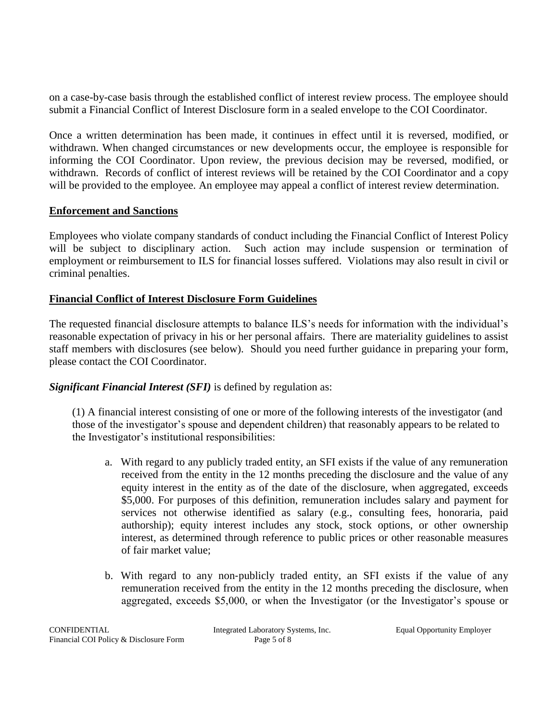on a case-by-case basis through the established conflict of interest review process. The employee should submit a Financial Conflict of Interest Disclosure form in a sealed envelope to the COI Coordinator.

Once a written determination has been made, it continues in effect until it is reversed, modified, or withdrawn. When changed circumstances or new developments occur, the employee is responsible for informing the COI Coordinator. Upon review, the previous decision may be reversed, modified, or withdrawn. Records of conflict of interest reviews will be retained by the COI Coordinator and a copy will be provided to the employee. An employee may appeal a conflict of interest review determination.

#### **Enforcement and Sanctions**

Employees who violate company standards of conduct including the Financial Conflict of Interest Policy will be subject to disciplinary action. Such action may include suspension or termination of employment or reimbursement to ILS for financial losses suffered. Violations may also result in civil or criminal penalties.

#### **Financial Conflict of Interest Disclosure Form Guidelines**

The requested financial disclosure attempts to balance ILS's needs for information with the individual's reasonable expectation of privacy in his or her personal affairs. There are materiality guidelines to assist staff members with disclosures (see below). Should you need further guidance in preparing your form, please contact the COI Coordinator.

#### *Significant Financial Interest (SFI)* is defined by regulation as:

(1) A financial interest consisting of one or more of the following interests of the investigator (and those of the investigator's spouse and dependent children) that reasonably appears to be related to the Investigator's institutional responsibilities:

- a. With regard to any publicly traded entity, an SFI exists if the value of any remuneration received from the entity in the 12 months preceding the disclosure and the value of any equity interest in the entity as of the date of the disclosure, when aggregated, exceeds \$5,000. For purposes of this definition, remuneration includes salary and payment for services not otherwise identified as salary (e.g., consulting fees, honoraria, paid authorship); equity interest includes any stock, stock options, or other ownership interest, as determined through reference to public prices or other reasonable measures of fair market value;
- b. With regard to any non‐publicly traded entity, an SFI exists if the value of any remuneration received from the entity in the 12 months preceding the disclosure, when aggregated, exceeds \$5,000, or when the Investigator (or the Investigator's spouse or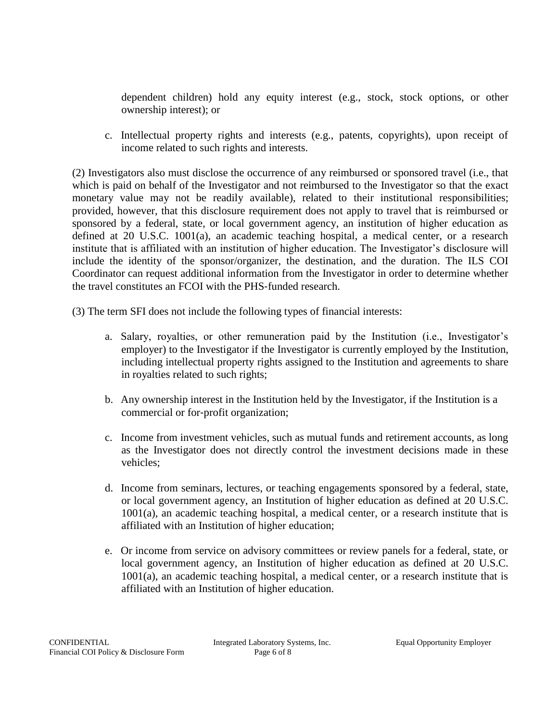dependent children) hold any equity interest (e.g., stock, stock options, or other ownership interest); or

c. Intellectual property rights and interests (e.g., patents, copyrights), upon receipt of income related to such rights and interests.

(2) Investigators also must disclose the occurrence of any reimbursed or sponsored travel (i.e., that which is paid on behalf of the Investigator and not reimbursed to the Investigator so that the exact monetary value may not be readily available), related to their institutional responsibilities; provided, however, that this disclosure requirement does not apply to travel that is reimbursed or sponsored by a federal, state, or local government agency, an institution of higher education as defined at 20 U.S.C. 1001(a), an academic teaching hospital, a medical center, or a research institute that is affiliated with an institution of higher education. The Investigator's disclosure will include the identity of the sponsor/organizer, the destination, and the duration. The ILS COI Coordinator can request additional information from the Investigator in order to determine whether the travel constitutes an FCOI with the PHS‐funded research.

(3) The term SFI does not include the following types of financial interests:

- a. Salary, royalties, or other remuneration paid by the Institution (i.e., Investigator's employer) to the Investigator if the Investigator is currently employed by the Institution, including intellectual property rights assigned to the Institution and agreements to share in royalties related to such rights;
- b. Any ownership interest in the Institution held by the Investigator, if the Institution is a commercial or for‐profit organization;
- c. Income from investment vehicles, such as mutual funds and retirement accounts, as long as the Investigator does not directly control the investment decisions made in these vehicles;
- d. Income from seminars, lectures, or teaching engagements sponsored by a federal, state, or local government agency, an Institution of higher education as defined at 20 U.S.C. 1001(a), an academic teaching hospital, a medical center, or a research institute that is affiliated with an Institution of higher education;
- e. Or income from service on advisory committees or review panels for a federal, state, or local government agency, an Institution of higher education as defined at 20 U.S.C. 1001(a), an academic teaching hospital, a medical center, or a research institute that is affiliated with an Institution of higher education.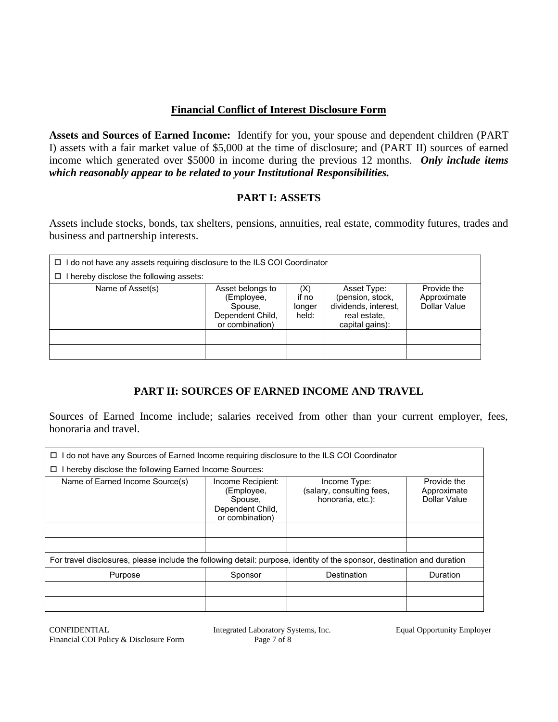#### **Financial Conflict of Interest Disclosure Form**

**Assets and Sources of Earned Income:** Identify for you, your spouse and dependent children (PART I) assets with a fair market value of \$5,000 at the time of disclosure; and (PART II) sources of earned income which generated over \$5000 in income during the previous 12 months. *Only include items which reasonably appear to be related to your Institutional Responsibilities.*

#### **PART I: ASSETS**

Assets include stocks, bonds, tax shelters, pensions, annuities, real estate, commodity futures, trades and business and partnership interests.

| I do not have any assets requiring disclosure to the ILS COI Coordinator<br>0 |                                                                                  |                                 |                                                                                            |                                            |
|-------------------------------------------------------------------------------|----------------------------------------------------------------------------------|---------------------------------|--------------------------------------------------------------------------------------------|--------------------------------------------|
| hereby disclose the following assets:<br>◻                                    |                                                                                  |                                 |                                                                                            |                                            |
| Name of Asset(s)                                                              | Asset belongs to<br>(Employee,<br>Spouse,<br>Dependent Child,<br>or combination) | (X)<br>if no<br>longer<br>held: | Asset Type:<br>(pension, stock,<br>dividends, interest,<br>real estate.<br>capital gains): | Provide the<br>Approximate<br>Dollar Value |
|                                                                               |                                                                                  |                                 |                                                                                            |                                            |
|                                                                               |                                                                                  |                                 |                                                                                            |                                            |

#### **PART II: SOURCES OF EARNED INCOME AND TRAVEL**

Sources of Earned Income include; salaries received from other than your current employer, fees, honoraria and travel.

| I do not have any Sources of Earned Income requiring disclosure to the ILS COI Coordinator<br>□                         |                                                                                   |                                                                |                                            |  |  |
|-------------------------------------------------------------------------------------------------------------------------|-----------------------------------------------------------------------------------|----------------------------------------------------------------|--------------------------------------------|--|--|
| I hereby disclose the following Earned Income Sources:<br>□                                                             |                                                                                   |                                                                |                                            |  |  |
| Name of Earned Income Source(s)                                                                                         | Income Recipient:<br>(Employee,<br>Spouse,<br>Dependent Child,<br>or combination) | Income Type:<br>(salary, consulting fees,<br>honoraria, etc.): | Provide the<br>Approximate<br>Dollar Value |  |  |
| For travel disclosures, please include the following detail: purpose, identity of the sponsor, destination and duration |                                                                                   |                                                                |                                            |  |  |
| Purpose                                                                                                                 | Sponsor                                                                           | Destination                                                    | Duration                                   |  |  |
|                                                                                                                         |                                                                                   |                                                                |                                            |  |  |
|                                                                                                                         |                                                                                   |                                                                |                                            |  |  |

CONFIDENTIAL Integrated Laboratory Systems, Inc. Equal Opportunity Employer Financial COI Policy & Disclosure Form Page 7 of 8